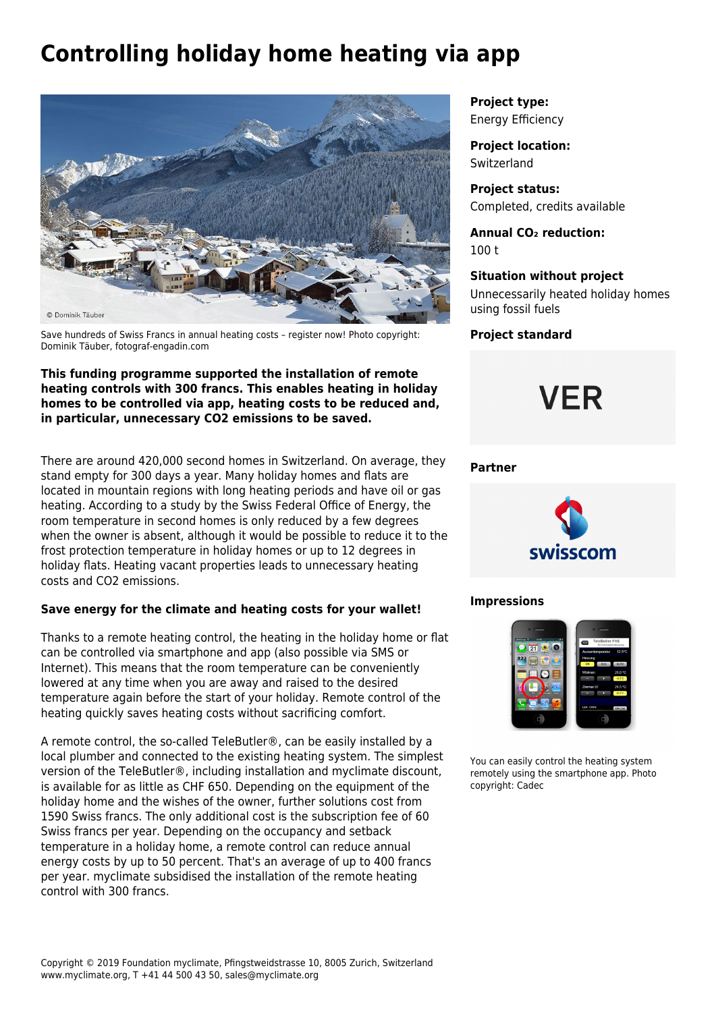# **Controlling holiday home heating via app**



Save hundreds of Swiss Francs in annual heating costs – register now! Photo copyright: Dominik Täuber, fotograf-engadin.com

### **This funding programme supported the installation of remote heating controls with 300 francs. This enables heating in holiday homes to be controlled via app, heating costs to be reduced and, in particular, unnecessary CO2 emissions to be saved.**

There are around 420,000 second homes in Switzerland. On average, they stand empty for 300 days a year. Many holiday homes and flats are located in mountain regions with long heating periods and have oil or gas heating. According to a study by the [Swiss Federal Office of Energy,](http://www.topten.ch/sites/default/files/files/Fernsteuerungen_Raumheizungen_BFE_2010.pdf) the room temperature in second homes is only reduced by a few degrees when the owner is absent, although it would be possible to reduce it to the frost protection temperature in holiday homes or up to 12 degrees in holiday flats. Heating vacant properties leads to unnecessary heating costs and CO2 emissions.

## **Save energy for the climate and heating costs for your wallet!**

Thanks to a remote heating control, the heating in the holiday home or flat can be controlled via smartphone and app (also possible via SMS or Internet). This means that the room temperature can be conveniently lowered at any time when you are away and raised to the desired temperature again before the start of your holiday. Remote control of the heating quickly saves heating costs without sacrificing comfort.

A remote control, the so-called TeleButler®, can be easily installed by a local plumber and connected to the existing heating system. The simplest version of the [TeleButler®](mailto:http://www.cadec.ch/index.php/die-abo-loesung), including installation and myclimate discount, is available for as little as CHF 650. Depending on the equipment of the holiday home and the wishes of the owner, further solutions cost from 1590 Swiss francs. The only additional cost is the subscription fee of 60 Swiss francs per year. Depending on the occupancy and setback temperature in a holiday home, a remote control can reduce annual energy costs by up to 50 percent. That's an average of up to 400 francs per year. myclimate subsidised the installation of the remote heating control with 300 francs.

**Project type:** Energy Efficiency

**Project location: Switzerland** 

**Project status:** Completed, credits available

**Annual CO₂ reduction:** 100 t

# **Situation without project**

Unnecessarily heated holiday homes using fossil fuels

**Project standard**



### **Partner**



#### **Impressions**



You can easily control the heating system remotely using the smartphone app. Photo copyright: Cadec